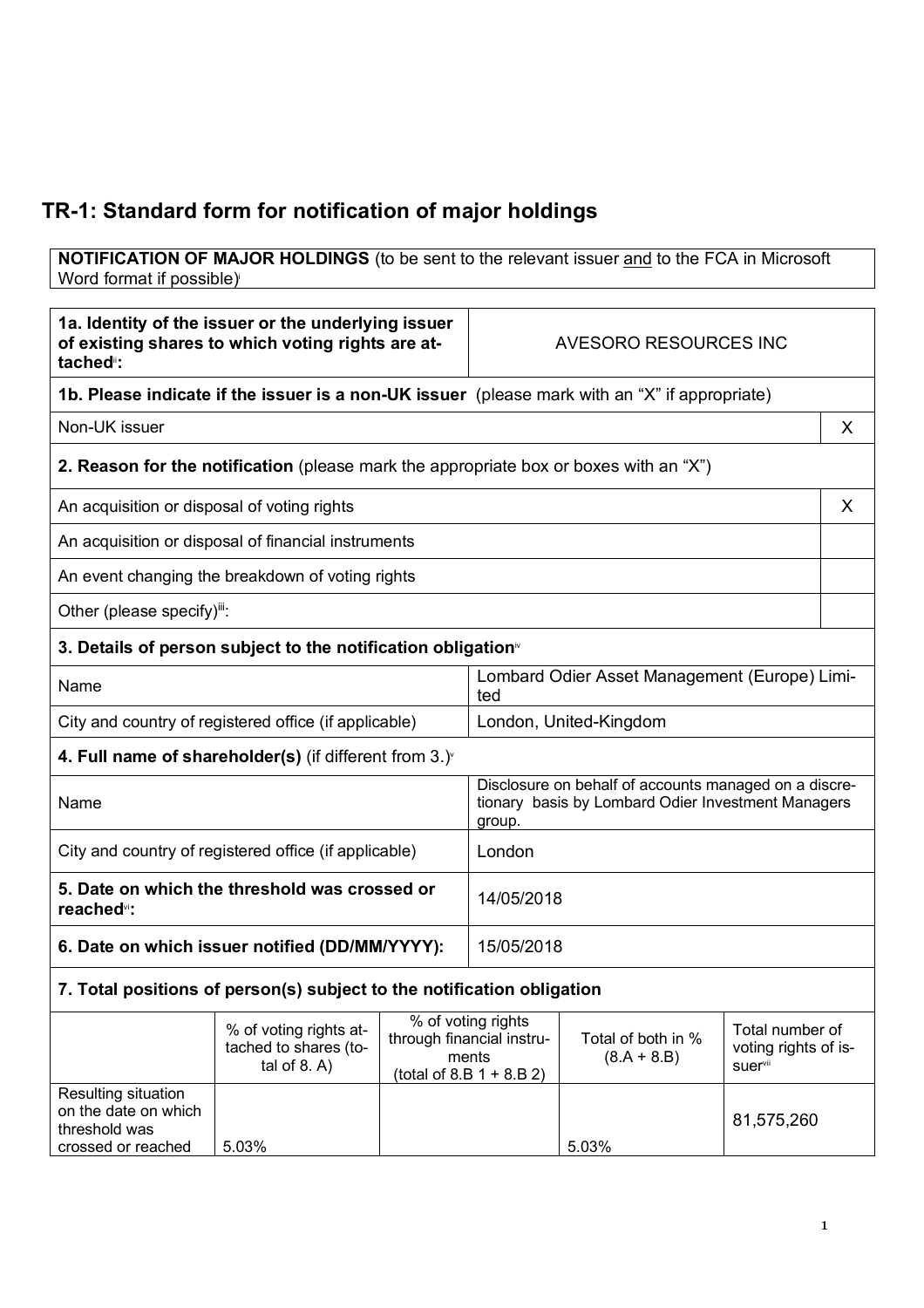## **TR-1: Standard form for notification of major holdings**

**NOTIFICATION OF MAJOR HOLDINGS** (to be sent to the relevant issuer and to the FCA in Microsoft Word format if possible)

| 1a. Identity of the issuer or the underlying issuer<br>of existing shares to which voting rights are at-<br>tached <sup>"</sup> : |                                                                                               | AVESORO RESOURCES INC |                                                                                                                       |                                     |                                                    |   |
|-----------------------------------------------------------------------------------------------------------------------------------|-----------------------------------------------------------------------------------------------|-----------------------|-----------------------------------------------------------------------------------------------------------------------|-------------------------------------|----------------------------------------------------|---|
|                                                                                                                                   | 1b. Please indicate if the issuer is a non-UK issuer (please mark with an "X" if appropriate) |                       |                                                                                                                       |                                     |                                                    |   |
| Non-UK issuer                                                                                                                     |                                                                                               |                       |                                                                                                                       |                                     |                                                    | X |
|                                                                                                                                   | <b>2. Reason for the notification</b> (please mark the appropriate box or boxes with an "X")  |                       |                                                                                                                       |                                     |                                                    |   |
| An acquisition or disposal of voting rights                                                                                       |                                                                                               |                       |                                                                                                                       |                                     |                                                    | X |
|                                                                                                                                   | An acquisition or disposal of financial instruments                                           |                       |                                                                                                                       |                                     |                                                    |   |
|                                                                                                                                   | An event changing the breakdown of voting rights                                              |                       |                                                                                                                       |                                     |                                                    |   |
| Other (please specify)":                                                                                                          |                                                                                               |                       |                                                                                                                       |                                     |                                                    |   |
|                                                                                                                                   | 3. Details of person subject to the notification obligation <sup>®</sup>                      |                       |                                                                                                                       |                                     |                                                    |   |
| Name                                                                                                                              |                                                                                               |                       | Lombard Odier Asset Management (Europe) Limi-<br>ted                                                                  |                                     |                                                    |   |
|                                                                                                                                   | City and country of registered office (if applicable)                                         |                       | London, United-Kingdom                                                                                                |                                     |                                                    |   |
| 4. Full name of shareholder(s) (if different from $3.$ ) $\sqrt{ }$                                                               |                                                                                               |                       |                                                                                                                       |                                     |                                                    |   |
| Name                                                                                                                              |                                                                                               |                       | Disclosure on behalf of accounts managed on a discre-<br>tionary basis by Lombard Odier Investment Managers<br>group. |                                     |                                                    |   |
| City and country of registered office (if applicable)                                                                             |                                                                                               |                       | London                                                                                                                |                                     |                                                    |   |
| 5. Date on which the threshold was crossed or<br>reached <sup>vi</sup> :                                                          |                                                                                               |                       | 14/05/2018                                                                                                            |                                     |                                                    |   |
| 6. Date on which issuer notified (DD/MM/YYYY):                                                                                    |                                                                                               |                       | 15/05/2018                                                                                                            |                                     |                                                    |   |
| 7. Total positions of person(s) subject to the notification obligation                                                            |                                                                                               |                       |                                                                                                                       |                                     |                                                    |   |
|                                                                                                                                   | % of voting rights at-<br>tached to shares (to-<br>tal of $8. A$ )                            |                       | % of voting rights<br>through financial instru-<br>ments<br>(total of 8.B $1 + 8.B 2$ )                               | Total of both in %<br>$(8.A + 8.B)$ | Total number of<br>voting rights of is-<br>suervii |   |
| Resulting situation<br>on the date on which<br>threshold was<br>crossed or reached                                                | 5.03%                                                                                         |                       |                                                                                                                       | 5.03%                               | 81,575,260                                         |   |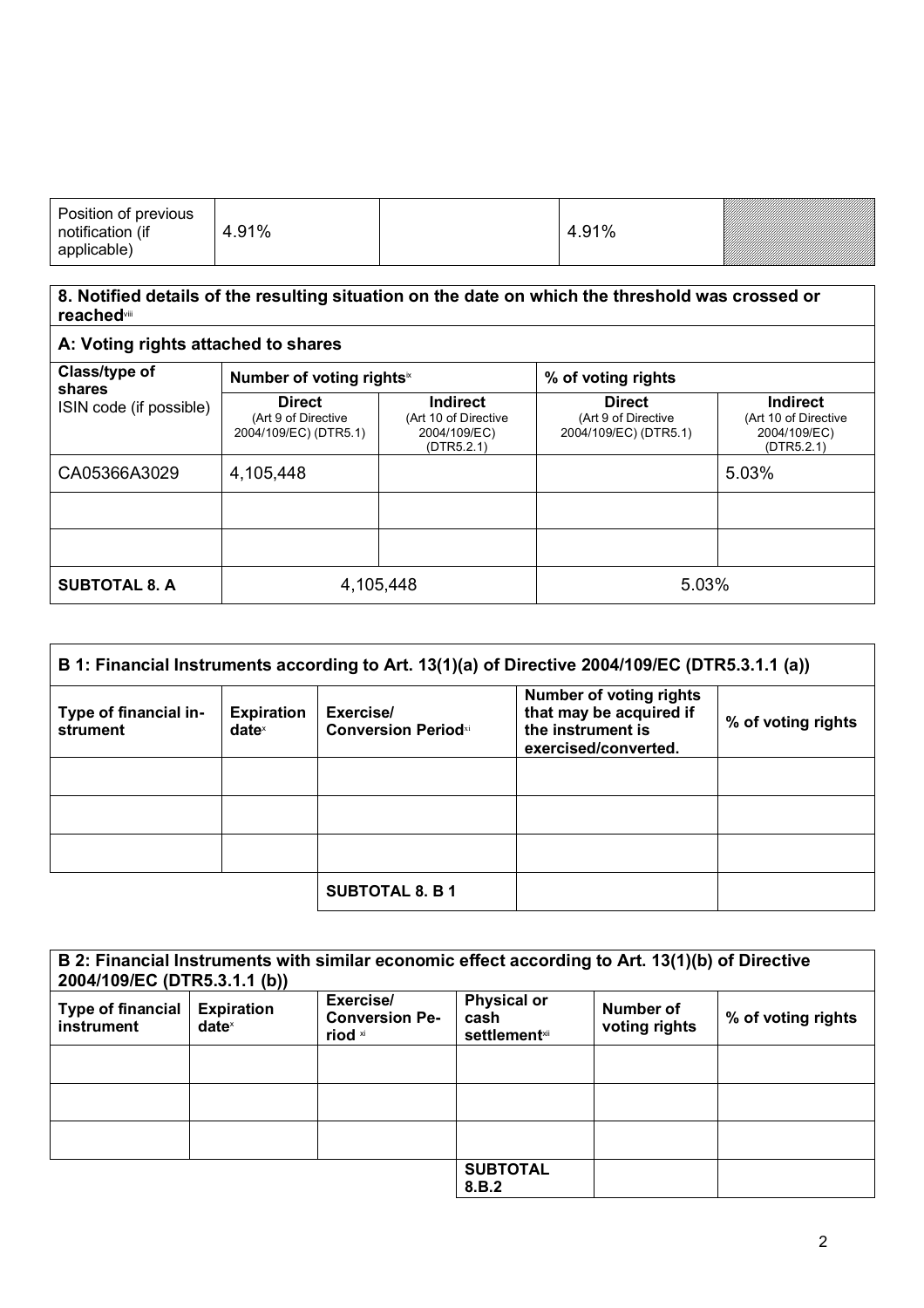| Position of previous<br>notification (if<br>applicable) | 4.91% |  | 4.91% |  |
|---------------------------------------------------------|-------|--|-------|--|
|---------------------------------------------------------|-------|--|-------|--|

## **8. Notified details of the resulting situation on the date on which the threshold was crossed or reached**viii

## **A: Voting rights attached to shares Class/type of shares** ISIN code (if possible) **Number of voting rights**<sup>\*</sup> **1** % of voting rights **Direct** (Art 9 of Directive 2004/109/EC) (DTR5.1) **Indirect** (Art 10 of Directive 2004/109/EC)  $(DTR5.2.1)$ **Direct** (Art 9 of Directive 2004/109/EC) (DTR5.1) **Indirect** (Art 10 of Directive 2004/109/EC)  $(DTR5.2.1)$  $CA05366A3029$   $|4,105,448$   $|5.03\%$ **SUBTOTAL 8. A**  $\begin{array}{|c|c|c|c|c|} \hline \textbf{0} & 4,105,448 & \textbf{1} & 5.03\% \hline \end{array}$

| B 1: Financial Instruments according to Art. 13(1)(a) of Directive 2004/109/EC (DTR5.3.1.1 (a)) |                               |                                                     |                                                                                                        |                    |
|-------------------------------------------------------------------------------------------------|-------------------------------|-----------------------------------------------------|--------------------------------------------------------------------------------------------------------|--------------------|
| Type of financial in-<br>strument                                                               | <b>Expiration</b><br>$date^x$ | Exercise/<br><b>Conversion Period</b> <sup>xi</sup> | <b>Number of voting rights</b><br>that may be acquired if<br>the instrument is<br>exercised/converted. | % of voting rights |
|                                                                                                 |                               |                                                     |                                                                                                        |                    |
|                                                                                                 |                               |                                                     |                                                                                                        |                    |
|                                                                                                 |                               |                                                     |                                                                                                        |                    |
|                                                                                                 |                               | <b>SUBTOTAL 8. B 1</b>                              |                                                                                                        |                    |

| B 2: Financial Instruments with similar economic effect according to Art. 13(1)(b) of Directive<br>2004/109/EC (DTR5.3.1.1 (b)) |                               |                                                          |                                                     |                            |                    |
|---------------------------------------------------------------------------------------------------------------------------------|-------------------------------|----------------------------------------------------------|-----------------------------------------------------|----------------------------|--------------------|
| <b>Type of financial</b><br>instrument                                                                                          | <b>Expiration</b><br>$date^x$ | Exercise/<br><b>Conversion Pe-</b><br>riod <sup>xi</sup> | <b>Physical or</b><br>cash<br><b>settlement</b> xii | Number of<br>voting rights | % of voting rights |
|                                                                                                                                 |                               |                                                          |                                                     |                            |                    |
|                                                                                                                                 |                               |                                                          |                                                     |                            |                    |
|                                                                                                                                 |                               |                                                          |                                                     |                            |                    |
|                                                                                                                                 |                               |                                                          | <b>SUBTOTAL</b><br>8.B.2                            |                            |                    |